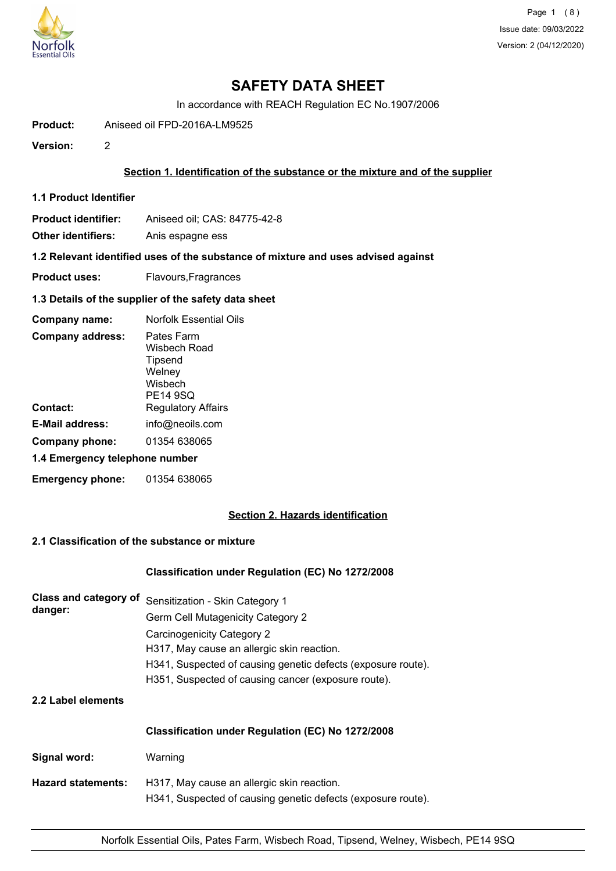

Page 1 (8) Issue date: 09/03/2022 Version: 2 (04/12/2020)

# **SAFETY DATA SHEET**

In accordance with REACH Regulation EC No.1907/2006

**Product:** Aniseed oil FPD-2016A-LM9525

**Version:** 2

## **Section 1. Identification of the substance or the mixture and of the supplier**

**1.1 Product Identifier**

**Product identifier:** Aniseed oil; CAS: 84775-42-8

**Other identifiers:** Anis espagne ess

**1.2 Relevant identified uses of the substance of mixture and uses advised against**

**Product uses:** Flavours, Fragrances

## **1.3 Details of the supplier of the safety data sheet**

| Company name:                  | <b>Norfolk Essential Oils</b>                                                 |
|--------------------------------|-------------------------------------------------------------------------------|
| <b>Company address:</b>        | Pates Farm<br>Wisbech Road<br>Tipsend<br>Welney<br>Wisbech<br><b>PE14 9SQ</b> |
| Contact:                       | <b>Regulatory Affairs</b>                                                     |
| E-Mail address:                | info@neoils.com                                                               |
| Company phone:                 | 01354 638065                                                                  |
| 1.4 Emergency telephone number |                                                                               |
| <b>Emergency phone:</b>        | 01354 638065                                                                  |

## **Section 2. Hazards identification**

# **2.1 Classification of the substance or mixture**

## **Classification under Regulation (EC) No 1272/2008**

| <b>Class and category of</b><br>danger: | Sensitization - Skin Category 1                              |
|-----------------------------------------|--------------------------------------------------------------|
|                                         | <b>Germ Cell Mutagenicity Category 2</b>                     |
|                                         | Carcinogenicity Category 2                                   |
|                                         | H317, May cause an allergic skin reaction.                   |
|                                         | H341, Suspected of causing genetic defects (exposure route). |
|                                         | H351, Suspected of causing cancer (exposure route).          |
|                                         |                                                              |

## **2.2 Label elements**

|                           | Classification under Regulation (EC) No 1272/2008                                                          |  |  |
|---------------------------|------------------------------------------------------------------------------------------------------------|--|--|
| Signal word:              | Warning                                                                                                    |  |  |
| <b>Hazard statements:</b> | H317, May cause an allergic skin reaction.<br>H341, Suspected of causing genetic defects (exposure route). |  |  |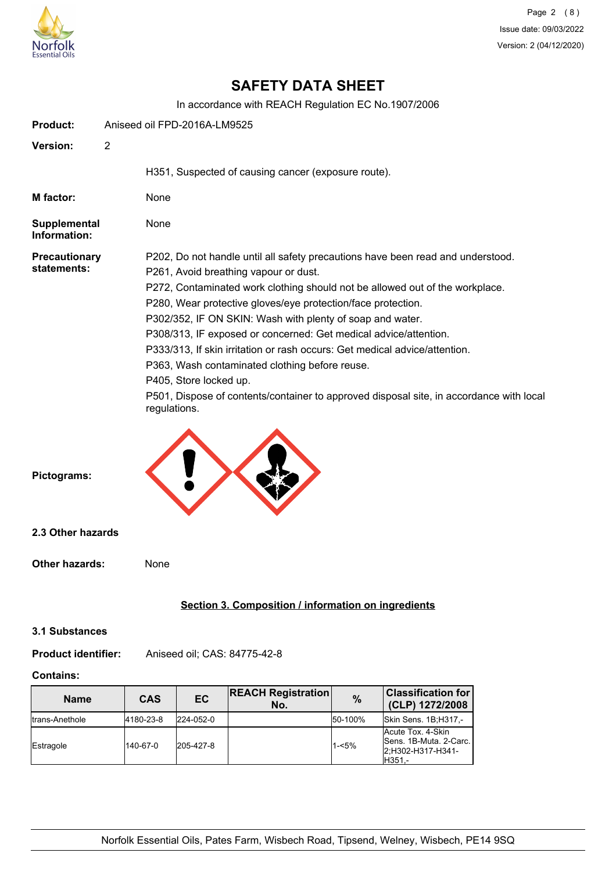

# **SAFETY DATA SHEET**

In accordance with REACH Regulation EC No.1907/2006

| <b>Product:</b>                     |                | Aniseed oil FPD-2016A-LM9525                                                                                              |
|-------------------------------------|----------------|---------------------------------------------------------------------------------------------------------------------------|
| <b>Version:</b>                     | $\overline{2}$ |                                                                                                                           |
|                                     |                | H351, Suspected of causing cancer (exposure route).                                                                       |
| M factor:                           |                | None                                                                                                                      |
| Supplemental<br>Information:        |                | None                                                                                                                      |
| <b>Precautionary</b><br>statements: |                | P202, Do not handle until all safety precautions have been read and understood.<br>P261, Avoid breathing vapour or dust.  |
|                                     |                | P272, Contaminated work clothing should not be allowed out of the workplace.                                              |
|                                     |                | P280, Wear protective gloves/eye protection/face protection.<br>P302/352, IF ON SKIN: Wash with plenty of soap and water. |
|                                     |                | P308/313, IF exposed or concerned: Get medical advice/attention.                                                          |
|                                     |                | P333/313, If skin irritation or rash occurs: Get medical advice/attention.                                                |
|                                     |                | P363, Wash contaminated clothing before reuse.                                                                            |
|                                     |                | P405, Store locked up.                                                                                                    |
|                                     |                | P501, Dispose of contents/container to approved disposal site, in accordance with local<br>regulations.                   |
|                                     |                |                                                                                                                           |
| Pictograms:                         |                |                                                                                                                           |
| 2.3 Other hazards                   |                |                                                                                                                           |
| <b>Other hazards:</b>               |                | None                                                                                                                      |

## **Section 3. Composition / information on ingredients**

## **3.1 Substances**

## **Product identifier:** Aniseed oil; CAS: 84775-42-8

## **Contains:**

| <b>Name</b>     | <b>CAS</b> | <b>EC</b> | <b>REACH Registration</b><br>No. | %        | <b>Classification for</b><br>(CLP) 1272/2008                               |
|-----------------|------------|-----------|----------------------------------|----------|----------------------------------------------------------------------------|
| Itrans-Anethole | 4180-23-8  | 224-052-0 |                                  | 50-100%  | Skin Sens. 1B;H317,-                                                       |
| Estragole       | 140-67-0   | 205-427-8 |                                  | $1 - 5%$ | Acute Tox, 4-Skin<br>Sens. 1B-Muta. 2-Carc.<br>2;H302-H317-H341-<br>H351.- |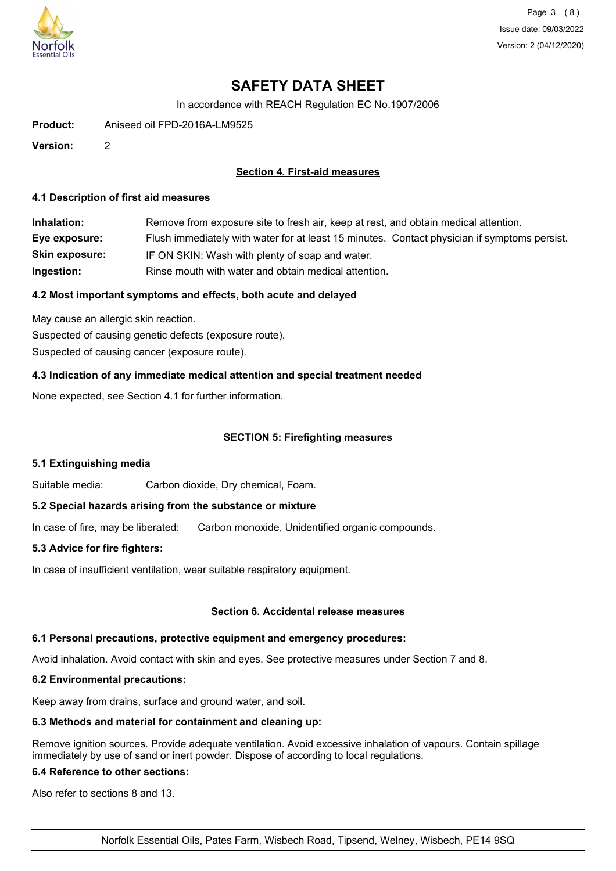

Page 3 (8) Issue date: 09/03/2022 Version: 2 (04/12/2020)

# **SAFETY DATA SHEET**

In accordance with REACH Regulation EC No.1907/2006

**Product:** Aniseed oil FPD-2016A-LM9525

**Version:** 2

## **Section 4. First-aid measures**

#### **4.1 Description of first aid measures**

| Inhalation:           | Remove from exposure site to fresh air, keep at rest, and obtain medical attention.          |
|-----------------------|----------------------------------------------------------------------------------------------|
| Eye exposure:         | Flush immediately with water for at least 15 minutes. Contact physician if symptoms persist. |
| <b>Skin exposure:</b> | IF ON SKIN: Wash with plenty of soap and water.                                              |
| Ingestion:            | Rinse mouth with water and obtain medical attention.                                         |

#### **4.2 Most important symptoms and effects, both acute and delayed**

May cause an allergic skin reaction. Suspected of causing genetic defects (exposure route). Suspected of causing cancer (exposure route).

## **4.3 Indication of any immediate medical attention and special treatment needed**

None expected, see Section 4.1 for further information.

#### **SECTION 5: Firefighting measures**

## **5.1 Extinguishing media**

Suitable media: Carbon dioxide, Dry chemical, Foam.

## **5.2 Special hazards arising from the substance or mixture**

In case of fire, may be liberated: Carbon monoxide, Unidentified organic compounds.

#### **5.3 Advice for fire fighters:**

In case of insufficient ventilation, wear suitable respiratory equipment.

### **Section 6. Accidental release measures**

### **6.1 Personal precautions, protective equipment and emergency procedures:**

Avoid inhalation. Avoid contact with skin and eyes. See protective measures under Section 7 and 8.

#### **6.2 Environmental precautions:**

Keep away from drains, surface and ground water, and soil.

#### **6.3 Methods and material for containment and cleaning up:**

Remove ignition sources. Provide adequate ventilation. Avoid excessive inhalation of vapours. Contain spillage immediately by use of sand or inert powder. Dispose of according to local regulations.

#### **6.4 Reference to other sections:**

Also refer to sections 8 and 13.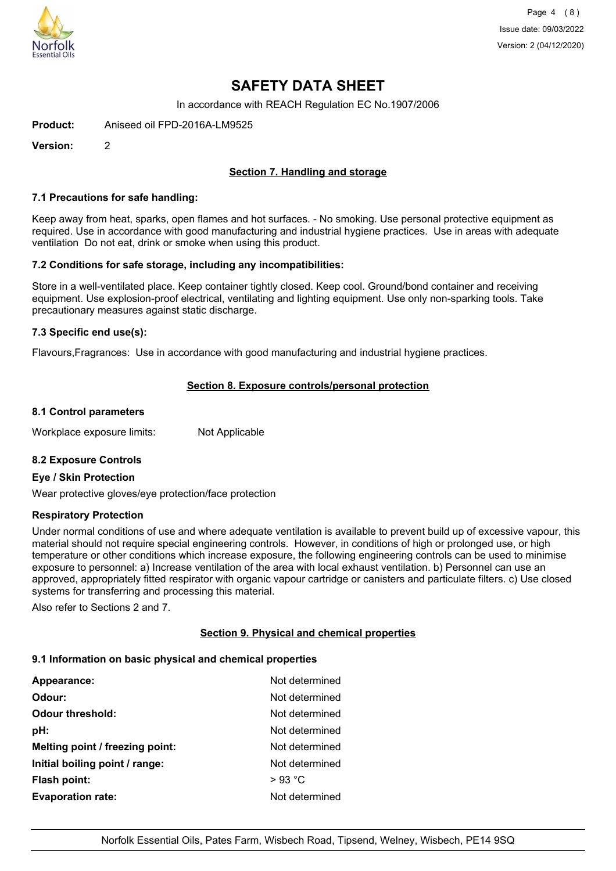

Page 4 (8) Issue date: 09/03/2022 Version: 2 (04/12/2020)

# **SAFETY DATA SHEET**

In accordance with REACH Regulation EC No.1907/2006

**Product:** Aniseed oil FPD-2016A-LM9525

**Version:** 2

## **Section 7. Handling and storage**

#### **7.1 Precautions for safe handling:**

Keep away from heat, sparks, open flames and hot surfaces. - No smoking. Use personal protective equipment as required. Use in accordance with good manufacturing and industrial hygiene practices. Use in areas with adequate ventilation Do not eat, drink or smoke when using this product.

## **7.2 Conditions for safe storage, including any incompatibilities:**

Store in a well-ventilated place. Keep container tightly closed. Keep cool. Ground/bond container and receiving equipment. Use explosion-proof electrical, ventilating and lighting equipment. Use only non-sparking tools. Take precautionary measures against static discharge.

## **7.3 Specific end use(s):**

Flavours,Fragrances: Use in accordance with good manufacturing and industrial hygiene practices.

## **Section 8. Exposure controls/personal protection**

#### **8.1 Control parameters**

Workplace exposure limits: Not Applicable

## **8.2 Exposure Controls**

#### **Eye / Skin Protection**

Wear protective gloves/eye protection/face protection

## **Respiratory Protection**

Under normal conditions of use and where adequate ventilation is available to prevent build up of excessive vapour, this material should not require special engineering controls. However, in conditions of high or prolonged use, or high temperature or other conditions which increase exposure, the following engineering controls can be used to minimise exposure to personnel: a) Increase ventilation of the area with local exhaust ventilation. b) Personnel can use an approved, appropriately fitted respirator with organic vapour cartridge or canisters and particulate filters. c) Use closed systems for transferring and processing this material.

Also refer to Sections 2 and 7.

## **Section 9. Physical and chemical properties**

#### **9.1 Information on basic physical and chemical properties**

| Appearance:                     | Not determined |
|---------------------------------|----------------|
| Odour:                          | Not determined |
| <b>Odour threshold:</b>         | Not determined |
| pH:                             | Not determined |
| Melting point / freezing point: | Not determined |
| Initial boiling point / range:  | Not determined |
| <b>Flash point:</b>             | $>93$ °C       |
| <b>Evaporation rate:</b>        | Not determined |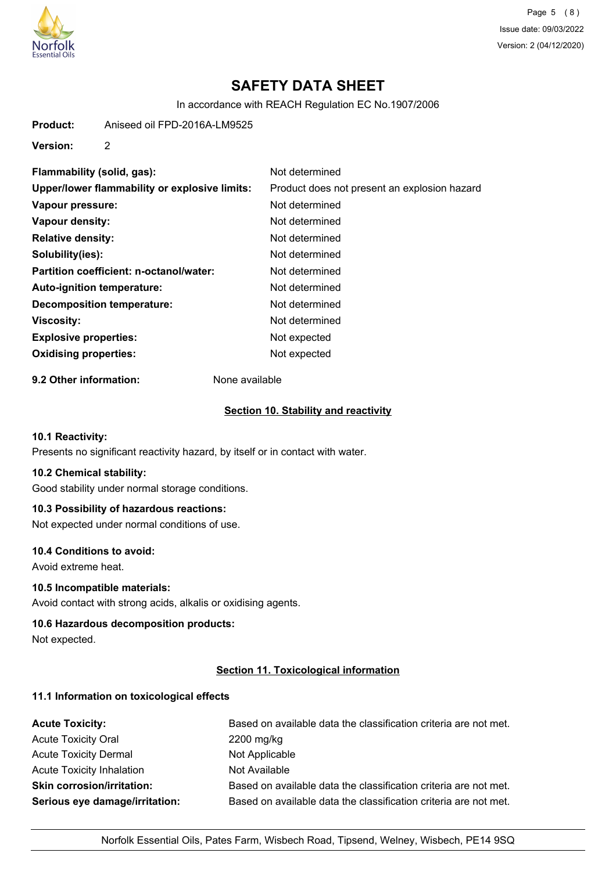

Page 5 (8) Issue date: 09/03/2022 Version: 2 (04/12/2020)

# **SAFETY DATA SHEET**

In accordance with REACH Regulation EC No.1907/2006

**Product:** Aniseed oil FPD-2016A-LM9525

**Version:** 2

| Flammability (solid, gas):                    | Not determined                               |
|-----------------------------------------------|----------------------------------------------|
| Upper/lower flammability or explosive limits: | Product does not present an explosion hazard |
| Vapour pressure:                              | Not determined                               |
| Vapour density:                               | Not determined                               |
| <b>Relative density:</b>                      | Not determined                               |
| Solubility(ies):                              | Not determined                               |
| Partition coefficient: n-octanol/water:       | Not determined                               |
| Auto-ignition temperature:                    | Not determined                               |
| <b>Decomposition temperature:</b>             | Not determined                               |
| <b>Viscosity:</b>                             | Not determined                               |
| <b>Explosive properties:</b>                  | Not expected                                 |
| <b>Oxidising properties:</b>                  | Not expected                                 |
|                                               |                                              |

**9.2 Other information:** None available

## **Section 10. Stability and reactivity**

## **10.1 Reactivity:**

Presents no significant reactivity hazard, by itself or in contact with water.

## **10.2 Chemical stability:**

Good stability under normal storage conditions.

## **10.3 Possibility of hazardous reactions:**

Not expected under normal conditions of use.

## **10.4 Conditions to avoid:**

Avoid extreme heat.

#### **10.5 Incompatible materials:**

Avoid contact with strong acids, alkalis or oxidising agents.

#### **10.6 Hazardous decomposition products:**

Not expected.

## **Section 11. Toxicological information**

## **11.1 Information on toxicological effects**

| <b>Acute Toxicity:</b>            | Based on available data the classification criteria are not met. |
|-----------------------------------|------------------------------------------------------------------|
| <b>Acute Toxicity Oral</b>        | 2200 mg/kg                                                       |
| <b>Acute Toxicity Dermal</b>      | Not Applicable                                                   |
| Acute Toxicity Inhalation         | Not Available                                                    |
| <b>Skin corrosion/irritation:</b> | Based on available data the classification criteria are not met. |
| Serious eye damage/irritation:    | Based on available data the classification criteria are not met. |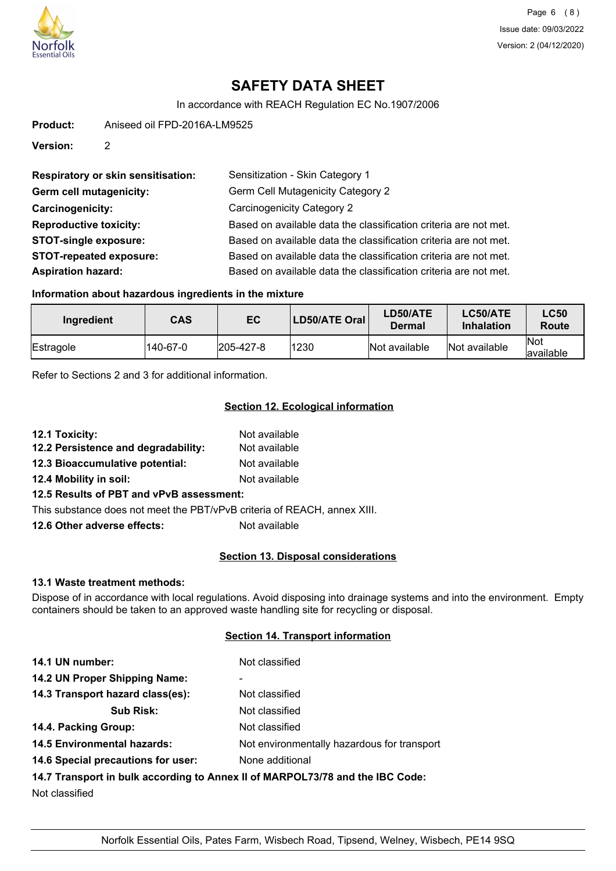

# **SAFETY DATA SHEET**

In accordance with REACH Regulation EC No.1907/2006

**Product:** Aniseed oil FPD-2016A-LM9525

**Version:** 2

| <b>Respiratory or skin sensitisation:</b> | Sensitization - Skin Category 1                                  |
|-------------------------------------------|------------------------------------------------------------------|
| Germ cell mutagenicity:                   | Germ Cell Mutagenicity Category 2                                |
| Carcinogenicity:                          | <b>Carcinogenicity Category 2</b>                                |
| <b>Reproductive toxicity:</b>             | Based on available data the classification criteria are not met. |
| <b>STOT-single exposure:</b>              | Based on available data the classification criteria are not met. |
| <b>STOT-repeated exposure:</b>            | Based on available data the classification criteria are not met. |
| <b>Aspiration hazard:</b>                 | Based on available data the classification criteria are not met. |

## **Information about hazardous ingredients in the mixture**

| Ingredient | <b>CAS</b> | EC                | LD50/ATE Oral | LD50/ATE<br>Dermal | LC50/ATE<br><b>Inhalation</b> | <b>LC50</b><br>Route    |
|------------|------------|-------------------|---------------|--------------------|-------------------------------|-------------------------|
| Estragole  | 140-67-0   | $ 205 - 427 - 8 $ | 1230          | Not available      | Not available                 | <b>Not</b><br>available |

Refer to Sections 2 and 3 for additional information.

## **Section 12. Ecological information**

| 12.1 Toxicity:                      | Not available |
|-------------------------------------|---------------|
| 12.2 Persistence and degradability: | Not available |
| 12.3 Bioaccumulative potential:     | Not available |

**12.4 Mobility in soil:** Not available

**12.5 Results of PBT and vPvB assessment:**

This substance does not meet the PBT/vPvB criteria of REACH, annex XIII.

**12.6 Other adverse effects:** Not available

## **Section 13. Disposal considerations**

#### **13.1 Waste treatment methods:**

Dispose of in accordance with local regulations. Avoid disposing into drainage systems and into the environment. Empty containers should be taken to an approved waste handling site for recycling or disposal.

#### **Section 14. Transport information**

| 14.1 UN number:                                                               | Not classified                              |  |
|-------------------------------------------------------------------------------|---------------------------------------------|--|
| 14.2 UN Proper Shipping Name:                                                 |                                             |  |
| 14.3 Transport hazard class(es):                                              | Not classified                              |  |
| <b>Sub Risk:</b>                                                              | Not classified                              |  |
| 14.4. Packing Group:                                                          | Not classified                              |  |
| <b>14.5 Environmental hazards:</b>                                            | Not environmentally hazardous for transport |  |
| 14.6 Special precautions for user:                                            | None additional                             |  |
| 14.7 Transport in bulk according to Annex II of MARPOL73/78 and the IBC Code: |                                             |  |

Not classified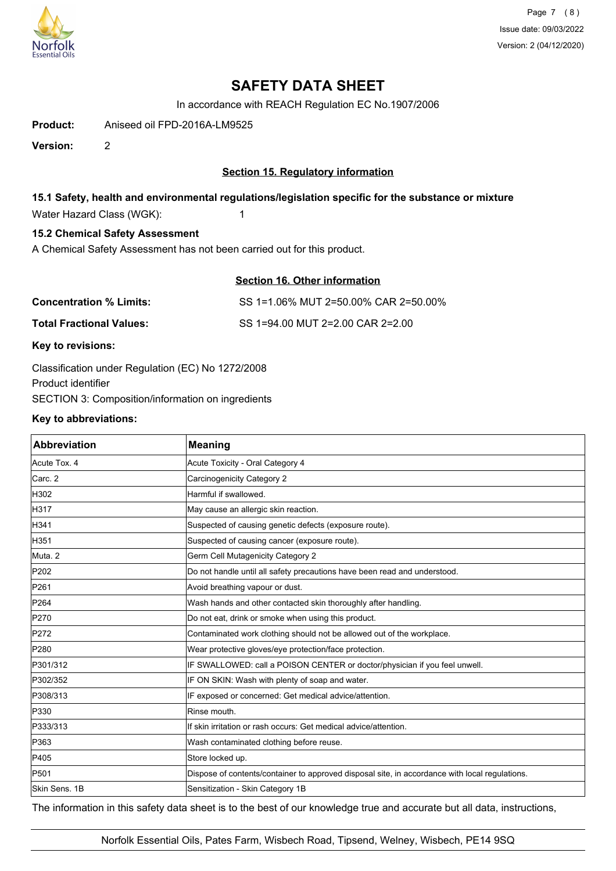

Page 7 (8) Issue date: 09/03/2022 Version: 2 (04/12/2020)

# **SAFETY DATA SHEET**

In accordance with REACH Regulation EC No.1907/2006

**Product:** Aniseed oil FPD-2016A-LM9525

**Version:** 2

## **Section 15. Regulatory information**

## **15.1 Safety, health and environmental regulations/legislation specific for the substance or mixture**

Water Hazard Class (WGK): 1

## **15.2 Chemical Safety Assessment**

A Chemical Safety Assessment has not been carried out for this product.

## **Section 16. Other information**

| <b>Concentration % Limits:</b>  | SS 1=1.06% MUT 2=50.00% CAR 2=50.00% |
|---------------------------------|--------------------------------------|
| <b>Total Fractional Values:</b> | SS 1=94.00 MUT 2=2.00 CAR 2=2.00     |

**Key to revisions:**

Classification under Regulation (EC) No 1272/2008 Product identifier SECTION 3: Composition/information on ingredients

## **Key to abbreviations:**

| <b>Abbreviation</b> | <b>Meaning</b>                                                                                 |
|---------------------|------------------------------------------------------------------------------------------------|
| Acute Tox. 4        | Acute Toxicity - Oral Category 4                                                               |
| Carc. 2             | Carcinogenicity Category 2                                                                     |
| H302                | Harmful if swallowed.                                                                          |
| H317                | May cause an allergic skin reaction.                                                           |
| H341                | Suspected of causing genetic defects (exposure route).                                         |
| H351                | Suspected of causing cancer (exposure route).                                                  |
| Muta. 2             | Germ Cell Mutagenicity Category 2                                                              |
| P202                | Do not handle until all safety precautions have been read and understood.                      |
| P261                | Avoid breathing vapour or dust.                                                                |
| P264                | Wash hands and other contacted skin thoroughly after handling.                                 |
| P270                | Do not eat, drink or smoke when using this product.                                            |
| P272                | Contaminated work clothing should not be allowed out of the workplace.                         |
| P280                | Wear protective gloves/eye protection/face protection.                                         |
| P301/312            | IF SWALLOWED: call a POISON CENTER or doctor/physician if you feel unwell.                     |
| P302/352            | IF ON SKIN: Wash with plenty of soap and water.                                                |
| P308/313            | IF exposed or concerned: Get medical advice/attention.                                         |
| P330                | Rinse mouth.                                                                                   |
| P333/313            | If skin irritation or rash occurs: Get medical advice/attention.                               |
| P363                | Wash contaminated clothing before reuse.                                                       |
| P405                | Store locked up.                                                                               |
| P501                | Dispose of contents/container to approved disposal site, in accordance with local regulations. |
| Skin Sens. 1B       | Sensitization - Skin Category 1B                                                               |

The information in this safety data sheet is to the best of our knowledge true and accurate but all data, instructions,